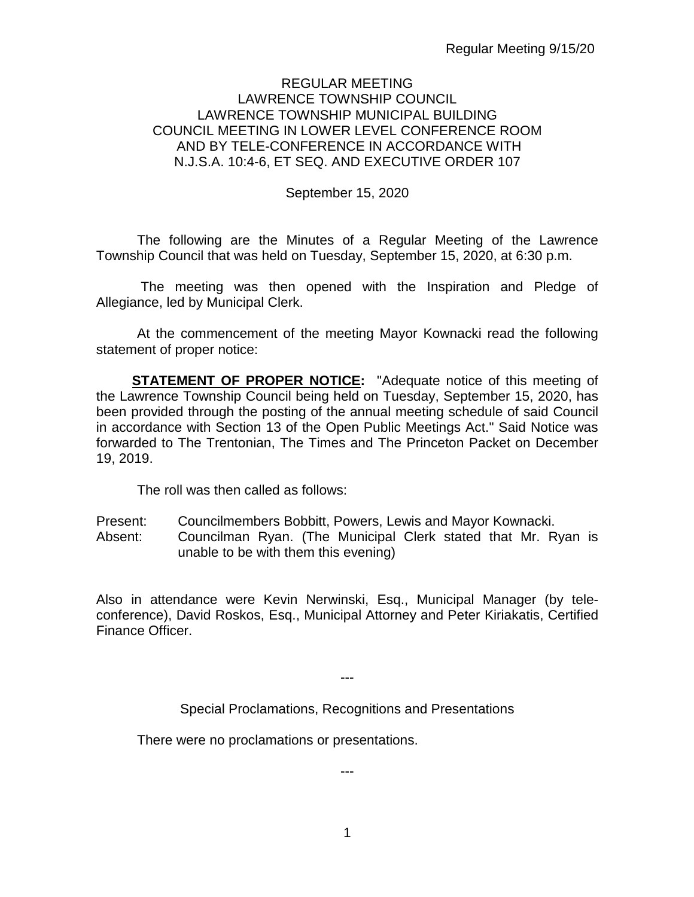### REGULAR MEETING LAWRENCE TOWNSHIP COUNCIL LAWRENCE TOWNSHIP MUNICIPAL BUILDING COUNCIL MEETING IN LOWER LEVEL CONFERENCE ROOM AND BY TELE-CONFERENCE IN ACCORDANCE WITH N.J.S.A. 10:4-6, ET SEQ. AND EXECUTIVE ORDER 107

September 15, 2020

The following are the Minutes of a Regular Meeting of the Lawrence Township Council that was held on Tuesday, September 15, 2020, at 6:30 p.m.

The meeting was then opened with the Inspiration and Pledge of Allegiance, led by Municipal Clerk.

At the commencement of the meeting Mayor Kownacki read the following statement of proper notice:

**STATEMENT OF PROPER NOTICE:** "Adequate notice of this meeting of the Lawrence Township Council being held on Tuesday, September 15, 2020, has been provided through the posting of the annual meeting schedule of said Council in accordance with Section 13 of the Open Public Meetings Act." Said Notice was forwarded to The Trentonian, The Times and The Princeton Packet on December 19, 2019.

The roll was then called as follows:

- 
- Present: Councilmembers Bobbitt, Powers, Lewis and Mayor Kownacki.<br>Absent: Councilman Ryan. (The Municipal Clerk stated that Mr. R Councilman Ryan. (The Municipal Clerk stated that Mr. Ryan is unable to be with them this evening)

Also in attendance were Kevin Nerwinski, Esq., Municipal Manager (by teleconference), David Roskos, Esq., Municipal Attorney and Peter Kiriakatis, Certified Finance Officer.

---

Special Proclamations, Recognitions and Presentations

There were no proclamations or presentations.

---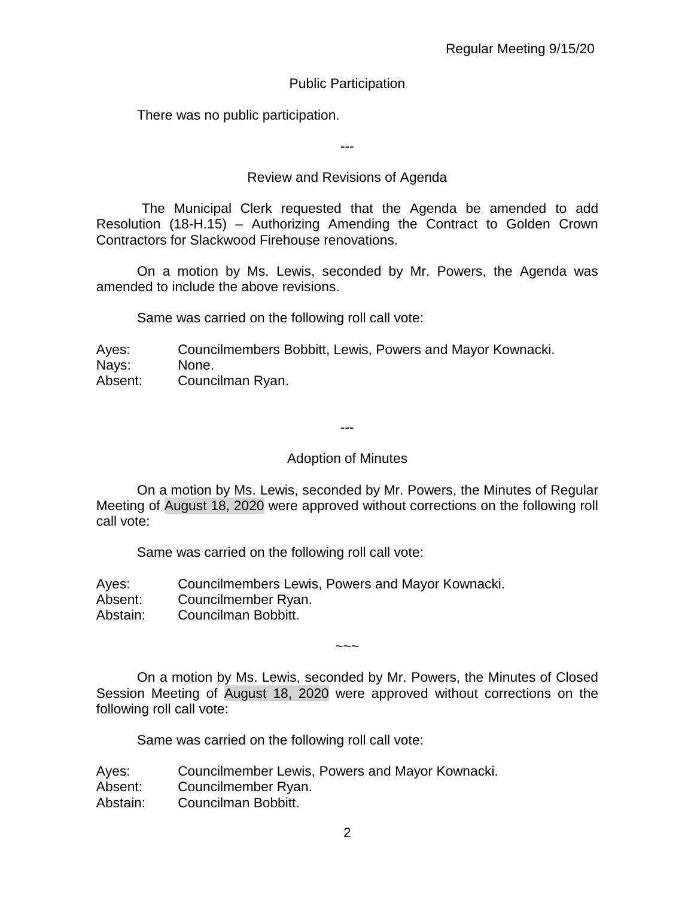## Public Participation

There was no public participation.

---

## Review and Revisions of Agenda

 The Municipal Clerk requested that the Agenda be amended to add Resolution (18-H.15) – Authorizing Amending the Contract to Golden Crown Contractors for Slackwood Firehouse renovations.

On a motion by Ms. Lewis, seconded by Mr. Powers, the Agenda was amended to include the above revisions.

Same was carried on the following roll call vote:

Ayes: Councilmembers Bobbitt, Lewis, Powers and Mayor Kownacki. Nays: None.

Absent: Councilman Ryan.

---

### Adoption of Minutes

On a motion by Ms. Lewis, seconded by Mr. Powers, the Minutes of Regular Meeting of August 18, 2020 were approved without corrections on the following roll call vote:

Same was carried on the following roll call vote:

Ayes: Councilmembers Lewis, Powers and Mayor Kownacki.

Absent: Councilmember Ryan.

Abstain: Councilman Bobbitt.

On a motion by Ms. Lewis, seconded by Mr. Powers, the Minutes of Closed Session Meeting of August 18, 2020 were approved without corrections on the following roll call vote:

~~~

Same was carried on the following roll call vote:

| Ayes:    | Councilmember Lewis, Powers and Mayor Kownacki. |
|----------|-------------------------------------------------|
| Absent:  | Councilmember Ryan.                             |
| Abstain: | Councilman Bobbitt.                             |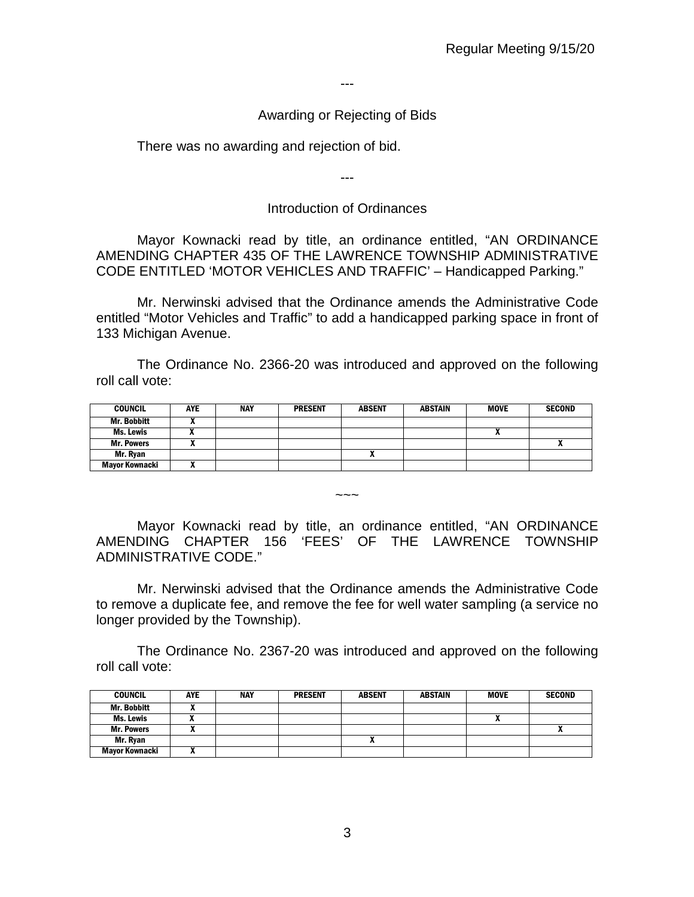---

### Awarding or Rejecting of Bids

There was no awarding and rejection of bid.

---

### Introduction of Ordinances

Mayor Kownacki read by title, an ordinance entitled, "AN ORDINANCE AMENDING CHAPTER 435 OF THE LAWRENCE TOWNSHIP ADMINISTRATIVE CODE ENTITLED 'MOTOR VEHICLES AND TRAFFIC' – Handicapped Parking."

Mr. Nerwinski advised that the Ordinance amends the Administrative Code entitled "Motor Vehicles and Traffic" to add a handicapped parking space in front of 133 Michigan Avenue.

The Ordinance No. 2366-20 was introduced and approved on the following roll call vote:

| <b>COUNCIL</b>        | <b>AYE</b> | <b>NAY</b> | <b>PRESENT</b> | <b>ABSENT</b> | <b>ABSTAIN</b> | <b>MOVE</b> | <b>SECOND</b> |
|-----------------------|------------|------------|----------------|---------------|----------------|-------------|---------------|
| <b>Mr. Bobbitt</b>    |            |            |                |               |                |             |               |
| Ms. Lewis             |            |            |                |               |                |             |               |
| <b>Mr. Powers</b>     |            |            |                |               |                |             | Λ             |
| Mr. Ryan              |            |            |                |               |                |             |               |
| <b>Mayor Kownacki</b> |            |            |                |               |                |             |               |

 $\sim\sim\sim$ 

Mayor Kownacki read by title, an ordinance entitled, "AN ORDINANCE AMENDING CHAPTER 156 'FEES' OF THE LAWRENCE TOWNSHIP ADMINISTRATIVE CODE."

Mr. Nerwinski advised that the Ordinance amends the Administrative Code to remove a duplicate fee, and remove the fee for well water sampling (a service no longer provided by the Township).

The Ordinance No. 2367-20 was introduced and approved on the following roll call vote:

| <b>COUNCIL</b>    | <b>AYE</b> | <b>NAY</b> | <b>PRESENT</b> | <b>ABSENT</b> | ABSTAIN | <b>MOVE</b> | <b>SECOND</b> |
|-------------------|------------|------------|----------------|---------------|---------|-------------|---------------|
| Mr. Bobbitt       | ,,         |            |                |               |         |             |               |
| <b>Ms. Lewis</b>  |            |            |                |               |         |             |               |
| <b>Mr. Powers</b> |            |            |                |               |         |             |               |
| Mr. Ryan          |            |            |                | ^             |         |             |               |
| Mayor Kownacki    |            |            |                |               |         |             |               |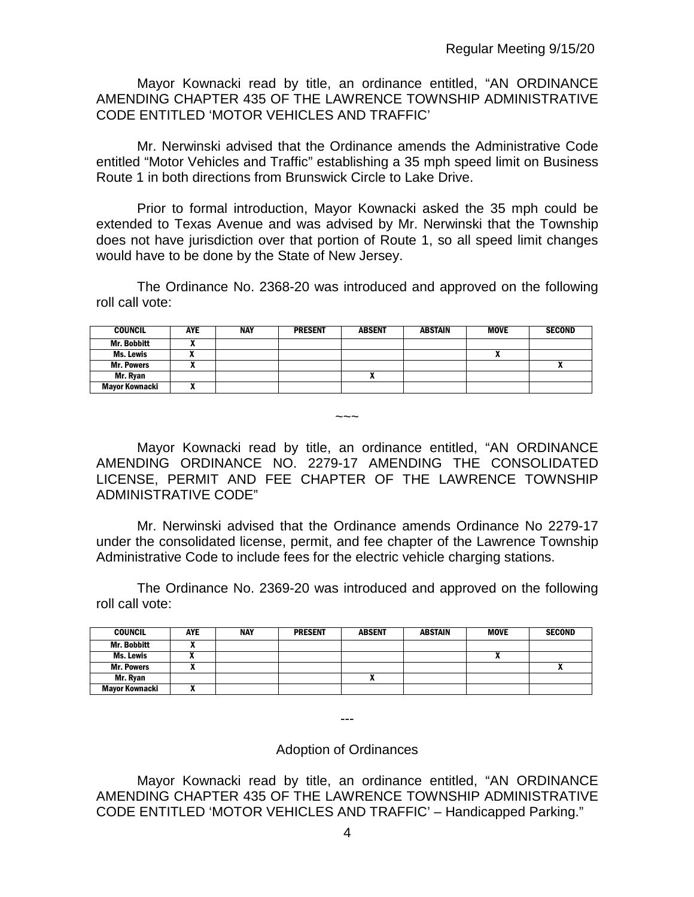Mayor Kownacki read by title, an ordinance entitled, "AN ORDINANCE AMENDING CHAPTER 435 OF THE LAWRENCE TOWNSHIP ADMINISTRATIVE CODE ENTITLED 'MOTOR VEHICLES AND TRAFFIC'

Mr. Nerwinski advised that the Ordinance amends the Administrative Code entitled "Motor Vehicles and Traffic" establishing a 35 mph speed limit on Business Route 1 in both directions from Brunswick Circle to Lake Drive.

Prior to formal introduction, Mayor Kownacki asked the 35 mph could be extended to Texas Avenue and was advised by Mr. Nerwinski that the Township does not have jurisdiction over that portion of Route 1, so all speed limit changes would have to be done by the State of New Jersey.

The Ordinance No. 2368-20 was introduced and approved on the following roll call vote:

| <b>COUNCIL</b>     | AYE | <b>NAY</b> | <b>PRESENT</b> | <b>ABSENT</b> | <b>ABSTAIN</b> | <b>MOVE</b> | <b>SECOND</b> |
|--------------------|-----|------------|----------------|---------------|----------------|-------------|---------------|
| <b>Mr. Bobbitt</b> |     |            |                |               |                |             |               |
| Ms. Lewis          |     |            |                |               |                |             |               |
| <b>Mr. Powers</b>  |     |            |                |               |                |             |               |
| Mr. Ryan           |     |            |                |               |                |             |               |
| Mayor Kownacki     |     |            |                |               |                |             |               |

Mayor Kownacki read by title, an ordinance entitled, "AN ORDINANCE AMENDING ORDINANCE NO. 2279-17 AMENDING THE CONSOLIDATED LICENSE, PERMIT AND FEE CHAPTER OF THE LAWRENCE TOWNSHIP ADMINISTRATIVE CODE"

 $\sim\sim\sim$ 

Mr. Nerwinski advised that the Ordinance amends Ordinance No 2279-17 under the consolidated license, permit, and fee chapter of the Lawrence Township Administrative Code to include fees for the electric vehicle charging stations.

The Ordinance No. 2369-20 was introduced and approved on the following roll call vote:

| <b>COUNCIL</b>        | <b>AYE</b> | <b>NAY</b> | <b>PRESENT</b> | <b>ABSENT</b> | ABSTAIN | <b>MOVE</b> | <b>SECOND</b> |
|-----------------------|------------|------------|----------------|---------------|---------|-------------|---------------|
| <b>Mr. Bobbitt</b>    |            |            |                |               |         |             |               |
| Ms. Lewis             |            |            |                |               |         |             |               |
| <b>Mr. Powers</b>     |            |            |                |               |         |             | ^             |
| Mr. Ryan              |            |            |                | "             |         |             |               |
| <b>Mayor Kownacki</b> |            |            |                |               |         |             |               |

Adoption of Ordinances

---

Mayor Kownacki read by title, an ordinance entitled, "AN ORDINANCE AMENDING CHAPTER 435 OF THE LAWRENCE TOWNSHIP ADMINISTRATIVE CODE ENTITLED 'MOTOR VEHICLES AND TRAFFIC' – Handicapped Parking."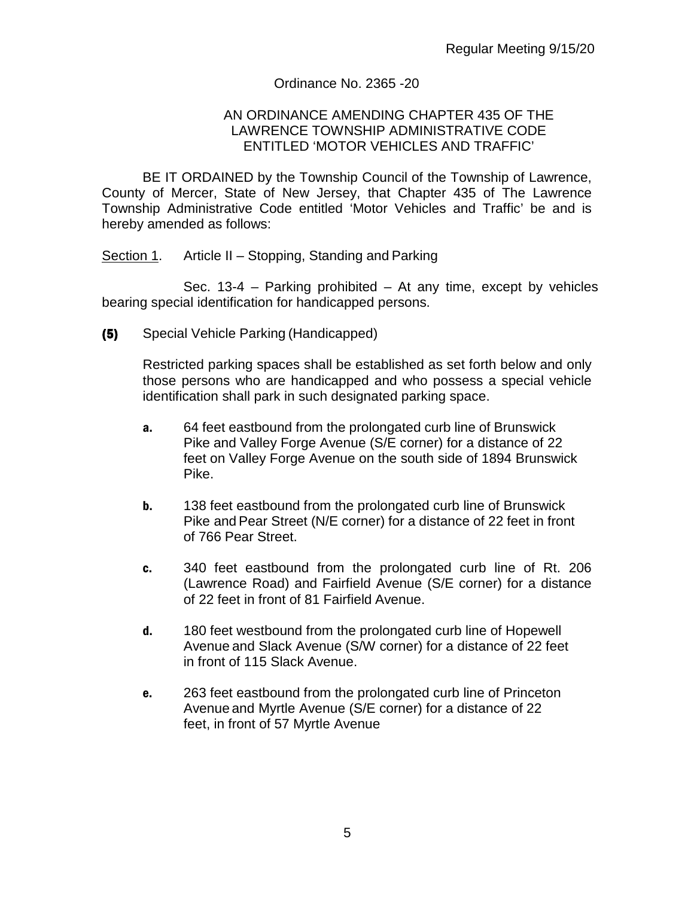### Ordinance No. 2365 -20

#### AN ORDINANCE AMENDING CHAPTER 435 OF THE LAWRENCE TOWNSHIP ADMINISTRATIVE CODE ENTITLED 'MOTOR VEHICLES AND TRAFFIC'

BE IT ORDAINED by the Township Council of the Township of Lawrence, County of Mercer, State of New Jersey, that Chapter 435 of The Lawrence Township Administrative Code entitled 'Motor Vehicles and Traffic' be and is hereby amended as follows:

Section 1. Article II – Stopping, Standing and Parking

Sec. 13-4 – Parking prohibited – At any time, except by vehicles bearing special identification for handicapped persons.

(5) Special Vehicle Parking (Handicapped)

Restricted parking spaces shall be established as set forth below and only those persons who are handicapped and who possess a special vehicle identification shall park in such designated parking space.

- a. 64 feet eastbound from the prolongated curb line of Brunswick Pike and Valley Forge Avenue (S/E corner) for a distance of 22 feet on Valley Forge Avenue on the south side of 1894 Brunswick Pike.
- **b.** 138 feet eastbound from the prolongated curb line of Brunswick Pike and Pear Street (N/E corner) for a distance of 22 feet in front of 766 Pear Street.
- c. 340 feet eastbound from the prolongated curb line of Rt. 206 (Lawrence Road) and Fairfield Avenue (S/E corner) for a distance of 22 feet in front of 81 Fairfield Avenue.
- d. 180 feet westbound from the prolongated curb line of Hopewell Avenue and Slack Avenue (S/W corner) for a distance of 22 feet in front of 115 Slack Avenue.
- e. 263 feet eastbound from the prolongated curb line of Princeton Avenue and Myrtle Avenue (S/E corner) for a distance of 22 feet, in front of 57 Myrtle Avenue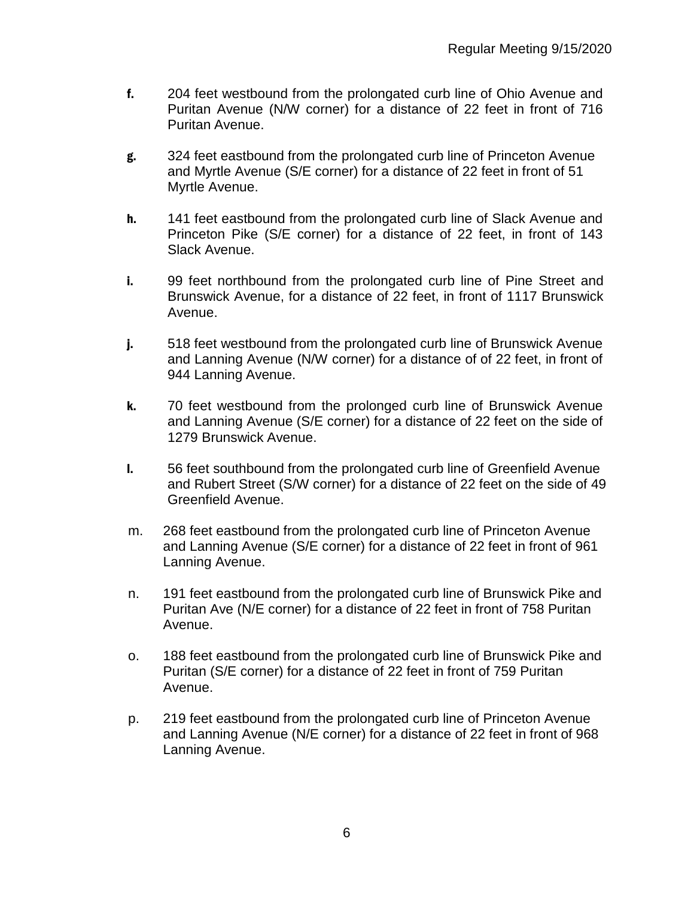- f. 204 feet westbound from the prolongated curb line of Ohio Avenue and Puritan Avenue (N/W corner) for a distance of 22 feet in front of 716 Puritan Avenue.
- g. 324 feet eastbound from the prolongated curb line of Princeton Avenue and Myrtle Avenue (S/E corner) for a distance of 22 feet in front of 51 Myrtle Avenue.
- h. 141 feet eastbound from the prolongated curb line of Slack Avenue and Princeton Pike (S/E corner) for a distance of 22 feet, in front of 143 Slack Avenue.
- i. 99 feet northbound from the prolongated curb line of Pine Street and Brunswick Avenue, for a distance of 22 feet, in front of 1117 Brunswick Avenue.
- j. 518 feet westbound from the prolongated curb line of Brunswick Avenue and Lanning Avenue (N/W corner) for a distance of of 22 feet, in front of 944 Lanning Avenue.
- k. 70 feet westbound from the prolonged curb line of Brunswick Avenue and Lanning Avenue (S/E corner) for a distance of 22 feet on the side of 1279 Brunswick Avenue.
- l. 56 feet southbound from the prolongated curb line of Greenfield Avenue and Rubert Street (S/W corner) for a distance of 22 feet on the side of 49 Greenfield Avenue.
- m. 268 feet eastbound from the prolongated curb line of Princeton Avenue and Lanning Avenue (S/E corner) for a distance of 22 feet in front of 961 Lanning Avenue.
- n. 191 feet eastbound from the prolongated curb line of Brunswick Pike and Puritan Ave (N/E corner) for a distance of 22 feet in front of 758 Puritan Avenue.
- o. 188 feet eastbound from the prolongated curb line of Brunswick Pike and Puritan (S/E corner) for a distance of 22 feet in front of 759 Puritan Avenue.
- p. 219 feet eastbound from the prolongated curb line of Princeton Avenue and Lanning Avenue (N/E corner) for a distance of 22 feet in front of 968 Lanning Avenue.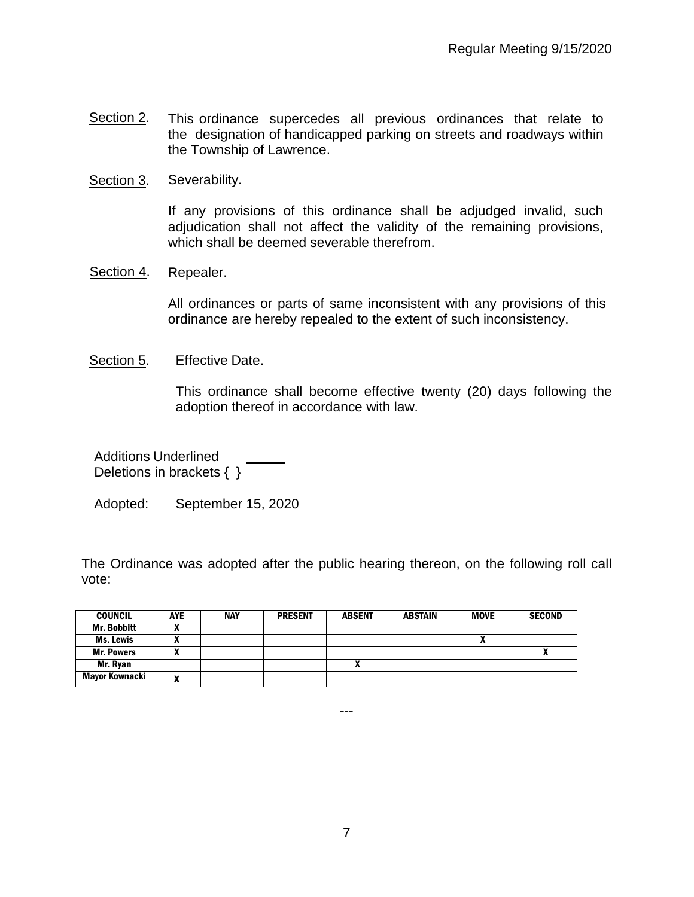- Section 2. This ordinance supercedes all previous ordinances that relate to the designation of handicapped parking on streets and roadways within the Township of Lawrence.
- Section 3. Severability.

If any provisions of this ordinance shall be adjudged invalid, such adjudication shall not affect the validity of the remaining provisions, which shall be deemed severable therefrom.

Section 4. Repealer.

All ordinances or parts of same inconsistent with any provisions of this ordinance are hereby repealed to the extent of such inconsistency.

Section 5. Effective Date.

This ordinance shall become effective twenty (20) days following the adoption thereof in accordance with law.

Additions Underlined Deletions in brackets { }

Adopted: September 15, 2020

The Ordinance was adopted after the public hearing thereon, on the following roll call vote:

| <b>COUNCIL</b>     | <b>AYE</b>                | <b>NAY</b> | <b>PRESENT</b> | <b>ABSENT</b> | <b>ABSTAIN</b> | <b>MOVE</b> | <b>SECOND</b> |
|--------------------|---------------------------|------------|----------------|---------------|----------------|-------------|---------------|
| <b>Mr. Bobbitt</b> | ~                         |            |                |               |                |             |               |
| Ms. Lewis          |                           |            |                |               |                |             |               |
| <b>Mr. Powers</b>  |                           |            |                |               |                |             | "             |
| Mr. Ryan           |                           |            |                | ^             |                |             |               |
| Mayor Kownacki     | $\boldsymbol{\mathsf{r}}$ |            |                |               |                |             |               |

---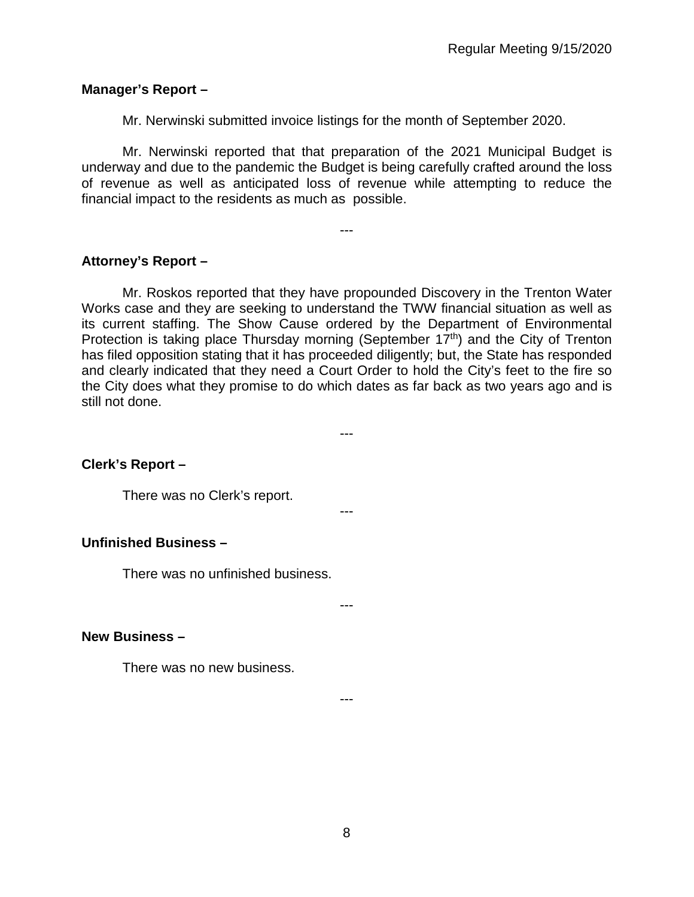### **Manager's Report –**

Mr. Nerwinski submitted invoice listings for the month of September 2020.

Mr. Nerwinski reported that that preparation of the 2021 Municipal Budget is underway and due to the pandemic the Budget is being carefully crafted around the loss of revenue as well as anticipated loss of revenue while attempting to reduce the financial impact to the residents as much as possible.

---

## **Attorney's Report –**

Mr. Roskos reported that they have propounded Discovery in the Trenton Water Works case and they are seeking to understand the TWW financial situation as well as its current staffing. The Show Cause ordered by the Department of Environmental Protection is taking place Thursday morning (September 17<sup>th</sup>) and the City of Trenton has filed opposition stating that it has proceeded diligently; but, the State has responded and clearly indicated that they need a Court Order to hold the City's feet to the fire so the City does what they promise to do which dates as far back as two years ago and is still not done.

---

---

### **Clerk's Report –**

There was no Clerk's report.

### **Unfinished Business –**

There was no unfinished business.

---

### **New Business –**

There was no new business.

---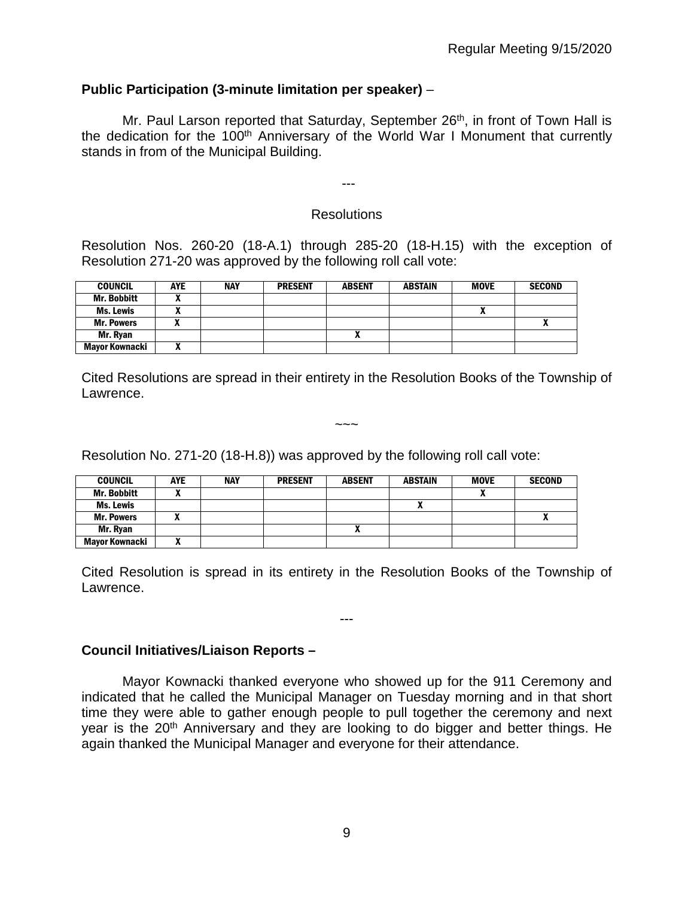## **Public Participation (3-minute limitation per speaker)** –

Mr. Paul Larson reported that Saturday, September  $26<sup>th</sup>$ , in front of Town Hall is the dedication for the 100<sup>th</sup> Anniversary of the World War I Monument that currently stands in from of the Municipal Building.

# Resolutions

---

Resolution Nos. 260-20 (18-A.1) through 285-20 (18-H.15) with the exception of Resolution 271-20 was approved by the following roll call vote:

| <b>COUNCIL</b>     | <b>AYE</b> | <b>NAY</b> | <b>PRESENT</b> | <b>ABSENT</b> | <b>ABSTAIN</b> | <b>MOVE</b> | <b>SECOND</b> |
|--------------------|------------|------------|----------------|---------------|----------------|-------------|---------------|
| <b>Mr. Bobbitt</b> |            |            |                |               |                |             |               |
| Ms. Lewis          |            |            |                |               |                | "           |               |
| <b>Mr. Powers</b>  |            |            |                |               |                |             |               |
| Mr. Rvan           |            |            |                | $\mathbf{r}$  |                |             |               |
| Mayor Kownacki     |            |            |                |               |                |             |               |

Cited Resolutions are spread in their entirety in the Resolution Books of the Township of Lawrence.

 $\sim\sim\sim$ 

Resolution No. 271-20 (18-H.8)) was approved by the following roll call vote:

| <b>COUNCIL</b>     | <b>AYE</b> | <b>NAY</b> | <b>PRESENT</b> | <b>ABSENT</b> | <b>ABSTAIN</b> | <b>MOVE</b> | <b>SECOND</b> |
|--------------------|------------|------------|----------------|---------------|----------------|-------------|---------------|
| <b>Mr. Bobbitt</b> |            |            |                |               |                |             |               |
| Ms. Lewis          |            |            |                |               |                |             |               |
| <b>Mr. Powers</b>  |            |            |                |               |                |             | -             |
| Mr. Ryan           |            |            |                |               |                |             |               |
| Mayor Kownacki     | ,,,        |            |                |               |                |             |               |

Cited Resolution is spread in its entirety in the Resolution Books of the Township of Lawrence.

---

### **Council Initiatives/Liaison Reports –**

Mayor Kownacki thanked everyone who showed up for the 911 Ceremony and indicated that he called the Municipal Manager on Tuesday morning and in that short time they were able to gather enough people to pull together the ceremony and next year is the 20<sup>th</sup> Anniversary and they are looking to do bigger and better things. He again thanked the Municipal Manager and everyone for their attendance.